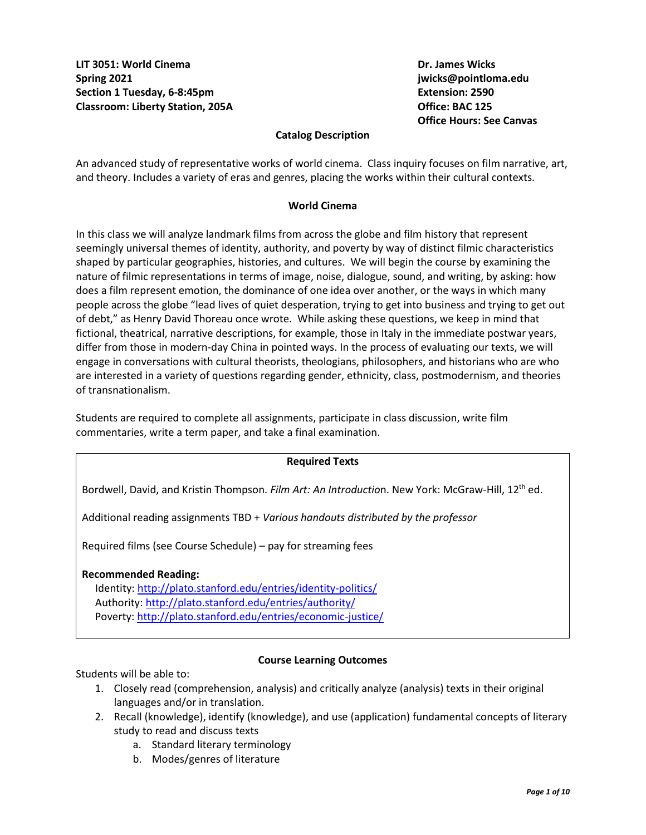**Office Hours: See Canvas**

## **Catalog Description**

An advanced study of representative works of world cinema. Class inquiry focuses on film narrative, art, and theory. Includes a variety of eras and genres, placing the works within their cultural contexts.

#### **World Cinema**

In this class we will analyze landmark films from across the globe and film history that represent seemingly universal themes of identity, authority, and poverty by way of distinct filmic characteristics shaped by particular geographies, histories, and cultures. We will begin the course by examining the nature of filmic representations in terms of image, noise, dialogue, sound, and writing, by asking: how does a film represent emotion, the dominance of one idea over another, or the ways in which many people across the globe "lead lives of quiet desperation, trying to get into business and trying to get out of debt," as Henry David Thoreau once wrote. While asking these questions, we keep in mind that fictional, theatrical, narrative descriptions, for example, those in Italy in the immediate postwar years, differ from those in modern-day China in pointed ways. In the process of evaluating our texts, we will engage in conversations with cultural theorists, theologians, philosophers, and historians who are who are interested in a variety of questions regarding gender, ethnicity, class, postmodernism, and theories of transnationalism.

Students are required to complete all assignments, participate in class discussion, write film commentaries, write a term paper, and take a final examination.

#### **Required Texts**

Bordwell, David, and Kristin Thompson. Film Art: An Introduction. New York: McGraw-Hill, 12<sup>th</sup> ed.

Additional reading assignments TBD + *Various handouts distributed by the professor*

Required films (see Course Schedule) – pay for streaming fees

**Recommended Reading:**

 Identity:<http://plato.stanford.edu/entries/identity-politics/> Authority:<http://plato.stanford.edu/entries/authority/> Poverty:<http://plato.stanford.edu/entries/economic-justice/>

#### **Course Learning Outcomes**

Students will be able to:

- 1. Closely read (comprehension, analysis) and critically analyze (analysis) texts in their original languages and/or in translation.
- 2. Recall (knowledge), identify (knowledge), and use (application) fundamental concepts of literary study to read and discuss texts
	- a. Standard literary terminology
	- b. Modes/genres of literature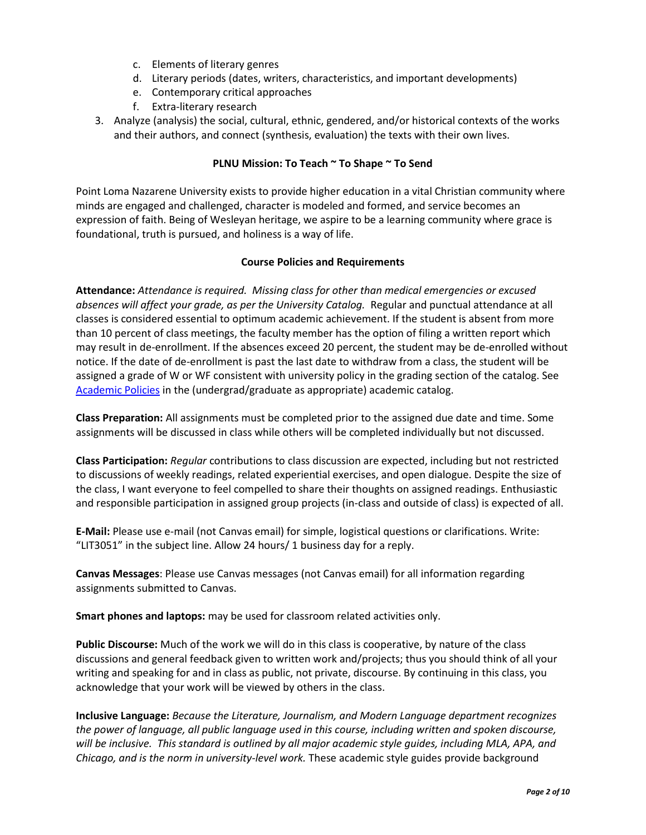- c. Elements of literary genres
- d. Literary periods (dates, writers, characteristics, and important developments)
- e. Contemporary critical approaches
- f. Extra-literary research
- 3. Analyze (analysis) the social, cultural, ethnic, gendered, and/or historical contexts of the works and their authors, and connect (synthesis, evaluation) the texts with their own lives.

## **PLNU Mission: To Teach ~ To Shape ~ To Send**

Point Loma Nazarene University exists to provide higher education in a vital Christian community where minds are engaged and challenged, character is modeled and formed, and service becomes an expression of faith. Being of Wesleyan heritage, we aspire to be a learning community where grace is foundational, truth is pursued, and holiness is a way of life.

## **Course Policies and Requirements**

**Attendance:** *Attendance is required. Missing class for other than medical emergencies or excused absences will affect your grade, as per the University Catalog.* Regular and punctual attendance at all classes is considered essential to optimum academic achievement. If the student is absent from more than 10 percent of class meetings, the faculty member has the option of filing a written report which may result in de-enrollment. If the absences exceed 20 percent, the student may be de-enrolled without notice. If the date of de-enrollment is past the last date to withdraw from a class, the student will be assigned a grade of W or WF consistent with university policy in the grading section of the catalog. See [Academic Policies](http://catalog.pointloma.edu/content.php?catoid=24&navoid=1581) in the (undergrad/graduate as appropriate) academic catalog.

**Class Preparation:** All assignments must be completed prior to the assigned due date and time. Some assignments will be discussed in class while others will be completed individually but not discussed.

**Class Participation:** *Regular* contributions to class discussion are expected, including but not restricted to discussions of weekly readings, related experiential exercises, and open dialogue. Despite the size of the class, I want everyone to feel compelled to share their thoughts on assigned readings. Enthusiastic and responsible participation in assigned group projects (in-class and outside of class) is expected of all.

**E-Mail:** Please use e-mail (not Canvas email) for simple, logistical questions or clarifications. Write: "LIT3051" in the subject line. Allow 24 hours/ 1 business day for a reply.

**Canvas Messages**: Please use Canvas messages (not Canvas email) for all information regarding assignments submitted to Canvas.

**Smart phones and laptops:** may be used for classroom related activities only.

**Public Discourse:** Much of the work we will do in this class is cooperative, by nature of the class discussions and general feedback given to written work and/projects; thus you should think of all your writing and speaking for and in class as public, not private, discourse. By continuing in this class, you acknowledge that your work will be viewed by others in the class.

**Inclusive Language:** *Because the Literature, Journalism, and Modern Language department recognizes the power of language, all public language used in this course, including written and spoken discourse, will be inclusive. This standard is outlined by all major academic style guides, including MLA, APA, and Chicago, and is the norm in university-level work.* These academic style guides provide background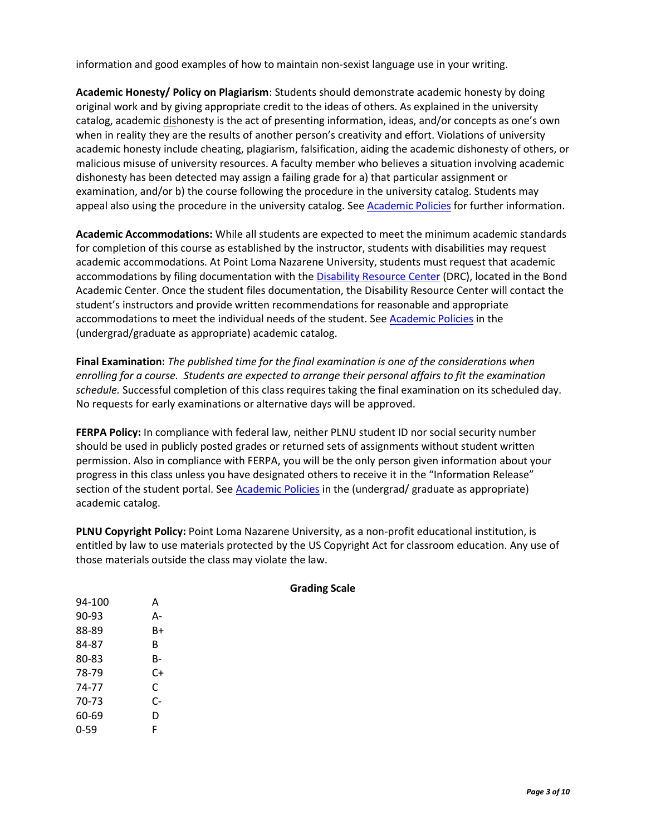information and good examples of how to maintain non-sexist language use in your writing.

**Academic Honesty/ Policy on Plagiarism**: Students should demonstrate academic honesty by doing original work and by giving appropriate credit to the ideas of others. As explained in the university catalog, academic dishonesty is the act of presenting information, ideas, and/or concepts as one's own when in reality they are the results of another person's creativity and effort. Violations of university academic honesty include cheating, plagiarism, falsification, aiding the academic dishonesty of others, or malicious misuse of university resources. A faculty member who believes a situation involving academic dishonesty has been detected may assign a failing grade for a) that particular assignment or examination, and/or b) the course following the procedure in the university catalog. Students may appeal also using the procedure in the university catalog. See [Academic Policies](http://catalog.pointloma.edu/content.php?catoid=24&navoid=1581#Academic_Honesty) for further information.

**Academic Accommodations:** While all students are expected to meet the minimum academic standards for completion of this course as established by the instructor, students with disabilities may request academic accommodations. At Point Loma Nazarene University, students must request that academic accommodations by filing documentation with the [Disability Resource Center](http://www.pointloma.edu/experience/offices/administrative-offices/academic-advising-office/disability-resource-center) (DRC), located in the Bond Academic Center. Once the student files documentation, the Disability Resource Center will contact the student's instructors and provide written recommendations for reasonable and appropriate accommodations to meet the individual needs of the student. See [Academic Policies](http://catalog.pointloma.edu/content.php?catoid=24&navoid=1581) in the (undergrad/graduate as appropriate) academic catalog.

**Final Examination:** *The published time for the final examination is one of the considerations when enrolling for a course. Students are expected to arrange their personal affairs to fit the examination schedule.* Successful completion of this class requires taking the final examination on its scheduled day. No requests for early examinations or alternative days will be approved.

**FERPA Policy:** In compliance with federal law, neither PLNU student ID nor social security number should be used in publicly posted grades or returned sets of assignments without student written permission. Also in compliance with FERPA, you will be the only person given information about your progress in this class unless you have designated others to receive it in the "Information Release" section of the student portal. See [Academic](http://catalog.pointloma.edu/content.php?catoid=24&navoid=1581) Policies in the (undergrad/ graduate as appropriate) academic catalog.

**PLNU Copyright Policy:** Point Loma Nazarene University, as a non-profit educational institution, is entitled by law to use materials protected by the US Copyright Act for classroom education. Any use of those materials outside the class may violate the law.

| 94-100 | А  |
|--------|----|
| 90-93  | А- |
| 88-89  | B+ |
| 84-87  | в  |
| 80-83  | B- |
| 78-79  | C+ |
| 74-77  | C  |
| 70-73  | C- |
| 60-69  | D  |
| 0-59   | F  |

## **Grading Scale**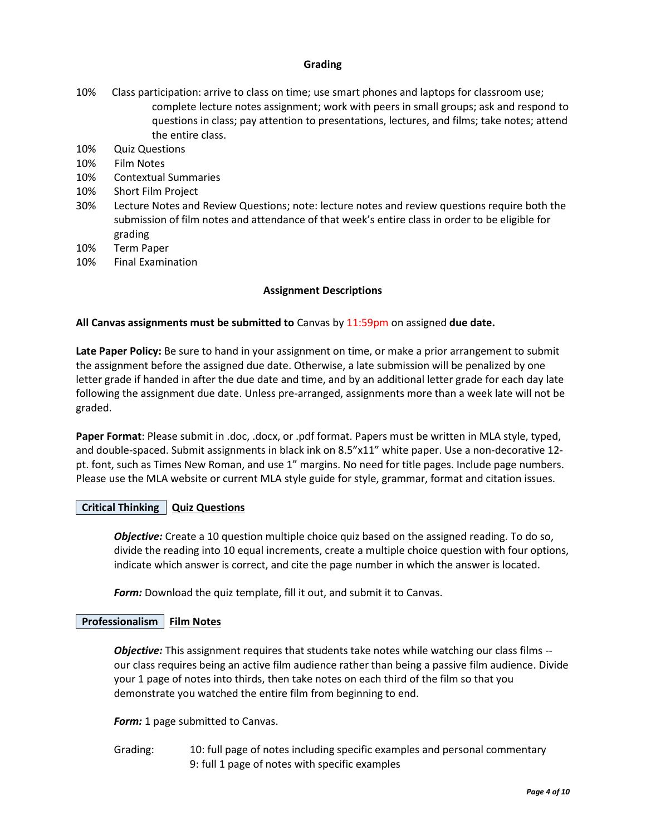#### **Grading**

- 10% Class participation: arrive to class on time; use smart phones and laptops for classroom use; complete lecture notes assignment; work with peers in small groups; ask and respond to questions in class; pay attention to presentations, lectures, and films; take notes; attend the entire class.
- 10% Quiz Questions
- 10% Film Notes
- 10% Contextual Summaries
- 10% Short Film Project
- 30% Lecture Notes and Review Questions; note: lecture notes and review questions require both the submission of film notes and attendance of that week's entire class in order to be eligible for grading
- 10% Term Paper
- 10% Final Examination

## **Assignment Descriptions**

#### **All Canvas assignments must be submitted to** Canvas by 11:59pm on assigned **due date.**

**Late Paper Policy:** Be sure to hand in your assignment on time, or make a prior arrangement to submit the assignment before the assigned due date. Otherwise, a late submission will be penalized by one letter grade if handed in after the due date and time, and by an additional letter grade for each day late following the assignment due date. Unless pre-arranged, assignments more than a week late will not be graded.

**Paper Format**: Please submit in .doc, .docx, or .pdf format. Papers must be written in MLA style, typed, and double-spaced. Submit assignments in black ink on 8.5"x11" white paper. Use a non-decorative 12 pt. font, such as Times New Roman, and use 1" margins. No need for title pages. Include page numbers. Please use the MLA website or current MLA style guide for style, grammar, format and citation issues.

## **Critical Thinking Quiz Questions**

*Objective:* Create a 10 question multiple choice quiz based on the assigned reading. To do so, divide the reading into 10 equal increments, create a multiple choice question with four options, indicate which answer is correct, and cite the page number in which the answer is located.

*Form:* Download the quiz template, fill it out, and submit it to Canvas.

## **Professionalism Film Notes**

*Objective:* This assignment requires that students take notes while watching our class films - our class requires being an active film audience rather than being a passive film audience. Divide your 1 page of notes into thirds, then take notes on each third of the film so that you demonstrate you watched the entire film from beginning to end.

*Form:* 1 page submitted to Canvas.

Grading: 10: full page of notes including specific examples and personal commentary 9: full 1 page of notes with specific examples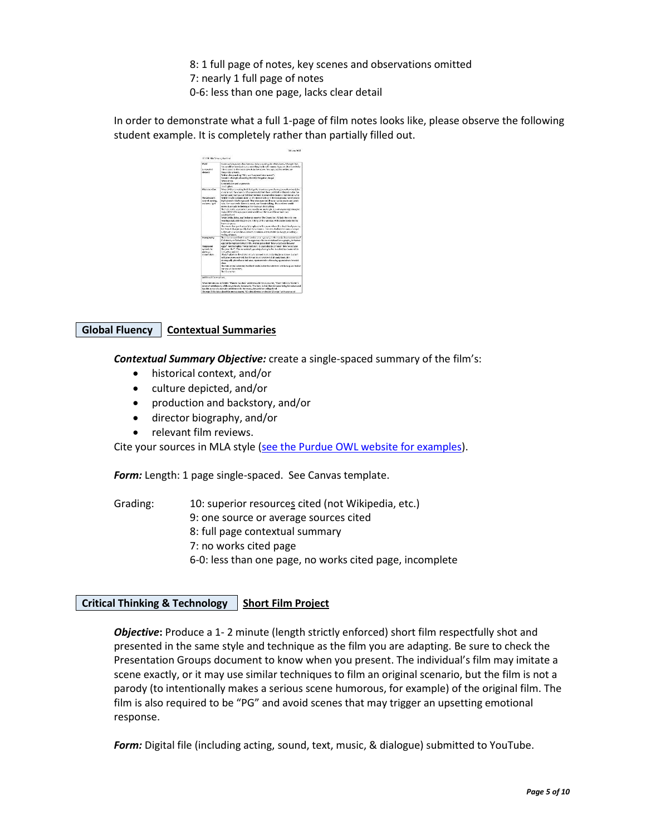8: 1 full page of notes, key scenes and observations omitted

7: nearly 1 full page of notes

0-6: less than one page, lacks clear detail

In order to demonstrate what a full 1-page of film notes looks like, please observe the following student example. It is completely rather than partially filled out.



## **Global Fluency Contextual Summaries**

*Contextual Summary Objective:* create a single-spaced summary of the film's:

- historical context, and/or
- culture depicted, and/or
- production and backstory, and/or
- director biography, and/or
- relevant film reviews.

Cite your sources in MLA style [\(see the Purdue OWL website for examples\)](https://owl.english.purdue.edu/owl/resource/747/08/).

Form: Length: 1 page single-spaced. See Canvas template.

Grading: 10: superior resources cited (not Wikipedia, etc.)

- 9: one source or average sources cited
- 8: full page contextual summary
- 7: no works cited page
- 6-0: less than one page, no works cited page, incomplete

## **Critical Thinking & Technology Short Film Project**

*Objective***:** Produce a 1- 2 minute (length strictly enforced) short film respectfully shot and presented in the same style and technique as the film you are adapting. Be sure to check the Presentation Groups document to know when you present. The individual's film may imitate a scene exactly, or it may use similar techniques to film an original scenario, but the film is not a parody (to intentionally makes a serious scene humorous, for example) of the original film. The film is also required to be "PG" and avoid scenes that may trigger an upsetting emotional response.

*Form:* Digital file (including acting, sound, text, music, & dialogue) submitted to YouTube.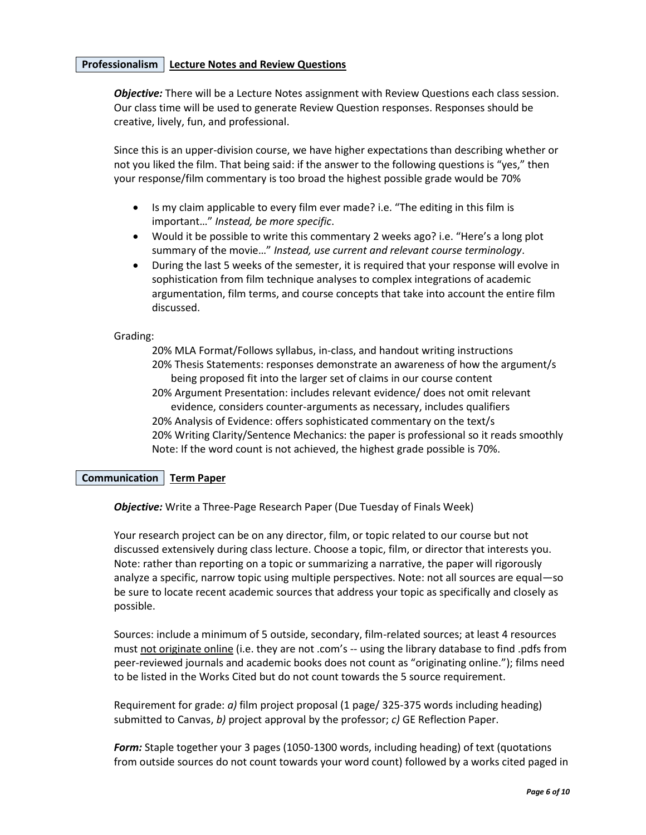## **Professionalism Lecture Notes and Review Questions**

*Objective:* There will be a Lecture Notes assignment with Review Questions each class session. Our class time will be used to generate Review Question responses. Responses should be creative, lively, fun, and professional.

Since this is an upper-division course, we have higher expectations than describing whether or not you liked the film. That being said: if the answer to the following questions is "yes," then your response/film commentary is too broad the highest possible grade would be 70%

- Is my claim applicable to every film ever made? i.e. "The editing in this film is important…" *Instead, be more specific*.
- Would it be possible to write this commentary 2 weeks ago? i.e. "Here's a long plot summary of the movie…" *Instead, use current and relevant course terminology*.
- During the last 5 weeks of the semester, it is required that your response will evolve in sophistication from film technique analyses to complex integrations of academic argumentation, film terms, and course concepts that take into account the entire film discussed.

#### Grading:

20% MLA Format/Follows syllabus, in-class, and handout writing instructions 20% Thesis Statements: responses demonstrate an awareness of how the argument/s being proposed fit into the larger set of claims in our course content 20% Argument Presentation: includes relevant evidence/ does not omit relevant evidence, considers counter-arguments as necessary, includes qualifiers 20% Analysis of Evidence: offers sophisticated commentary on the text/s 20% Writing Clarity/Sentence Mechanics: the paper is professional so it reads smoothly Note: If the word count is not achieved, the highest grade possible is 70%.

## **Communication Term Paper**

*Objective:* Write a Three-Page Research Paper (Due Tuesday of Finals Week)

Your research project can be on any director, film, or topic related to our course but not discussed extensively during class lecture. Choose a topic, film, or director that interests you. Note: rather than reporting on a topic or summarizing a narrative, the paper will rigorously analyze a specific, narrow topic using multiple perspectives. Note: not all sources are equal—so be sure to locate recent academic sources that address your topic as specifically and closely as possible.

Sources: include a minimum of 5 outside, secondary, film-related sources; at least 4 resources must not originate online (i.e. they are not .com's -- using the library database to find .pdfs from peer-reviewed journals and academic books does not count as "originating online."); films need to be listed in the Works Cited but do not count towards the 5 source requirement.

Requirement for grade: *a)* film project proposal (1 page/ 325-375 words including heading) submitted to Canvas, *b)* project approval by the professor; *c)* GE Reflection Paper.

*Form:* Staple together your 3 pages (1050-1300 words, including heading) of text (quotations from outside sources do not count towards your word count) followed by a works cited paged in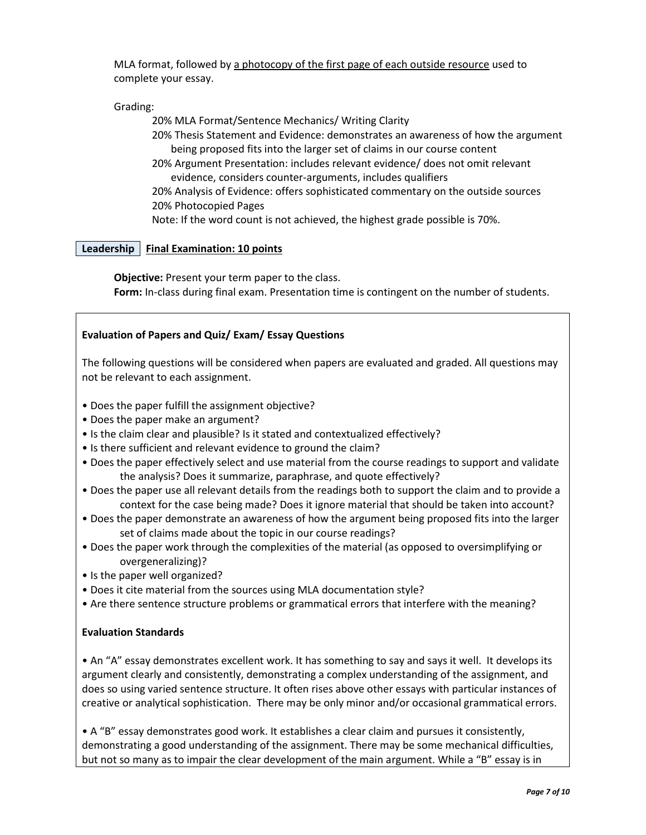MLA format, followed by a photocopy of the first page of each outside resource used to complete your essay.

## Grading:

20% MLA Format/Sentence Mechanics/ Writing Clarity

- 20% Thesis Statement and Evidence: demonstrates an awareness of how the argument being proposed fits into the larger set of claims in our course content
- 20% Argument Presentation: includes relevant evidence/ does not omit relevant evidence, considers counter-arguments, includes qualifiers

20% Analysis of Evidence: offers sophisticated commentary on the outside sources 20% Photocopied Pages

Note: If the word count is not achieved, the highest grade possible is 70%.

## **Leadership Final Examination: 10 points**

**Objective:** Present your term paper to the class.

**Form:** In-class during final exam. Presentation time is contingent on the number of students.

# **Evaluation of Papers and Quiz/ Exam/ Essay Questions**

The following questions will be considered when papers are evaluated and graded. All questions may not be relevant to each assignment.

- Does the paper fulfill the assignment objective?
- Does the paper make an argument?
- Is the claim clear and plausible? Is it stated and contextualized effectively?
- Is there sufficient and relevant evidence to ground the claim?
- Does the paper effectively select and use material from the course readings to support and validate the analysis? Does it summarize, paraphrase, and quote effectively?
- Does the paper use all relevant details from the readings both to support the claim and to provide a context for the case being made? Does it ignore material that should be taken into account?
- Does the paper demonstrate an awareness of how the argument being proposed fits into the larger set of claims made about the topic in our course readings?
- Does the paper work through the complexities of the material (as opposed to oversimplifying or overgeneralizing)?
- Is the paper well organized?
- Does it cite material from the sources using MLA documentation style?
- Are there sentence structure problems or grammatical errors that interfere with the meaning?

## **Evaluation Standards**

• An "A" essay demonstrates excellent work. It has something to say and says it well. It develops its argument clearly and consistently, demonstrating a complex understanding of the assignment, and does so using varied sentence structure. It often rises above other essays with particular instances of creative or analytical sophistication. There may be only minor and/or occasional grammatical errors.

• A "B" essay demonstrates good work. It establishes a clear claim and pursues it consistently, demonstrating a good understanding of the assignment. There may be some mechanical difficulties, but not so many as to impair the clear development of the main argument. While a "B" essay is in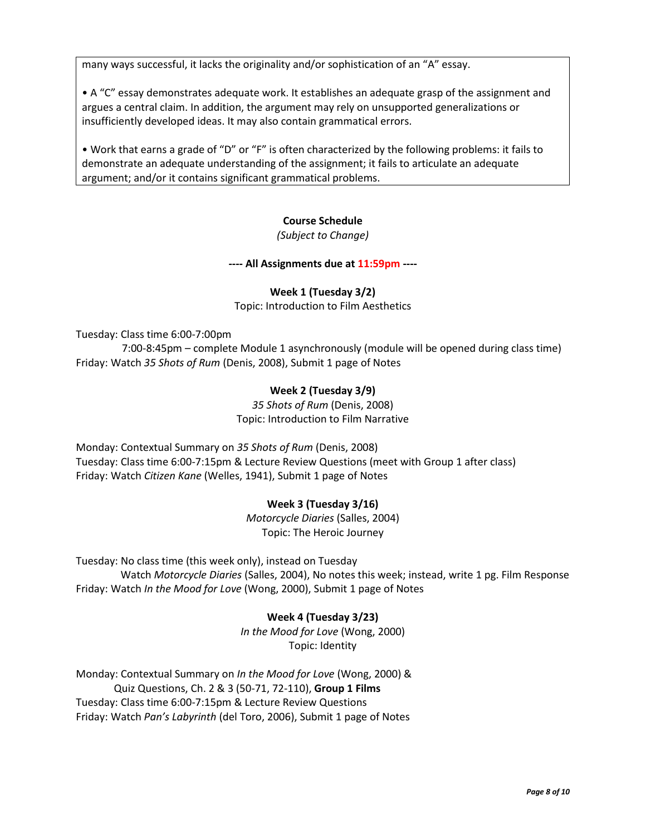many ways successful, it lacks the originality and/or sophistication of an "A" essay.

• A "C" essay demonstrates adequate work. It establishes an adequate grasp of the assignment and argues a central claim. In addition, the argument may rely on unsupported generalizations or insufficiently developed ideas. It may also contain grammatical errors.

• Work that earns a grade of "D" or "F" is often characterized by the following problems: it fails to demonstrate an adequate understanding of the assignment; it fails to articulate an adequate argument; and/or it contains significant grammatical problems.

# **Course Schedule**

*(Subject to Change)*

**---- All Assignments due at 11:59pm ----**

# **Week 1 (Tuesday 3/2)**

Topic: Introduction to Film Aesthetics

Tuesday: Class time 6:00-7:00pm

 7:00-8:45pm – complete Module 1 asynchronously (module will be opened during class time) Friday: Watch *35 Shots of Rum* (Denis, 2008), Submit 1 page of Notes

# **Week 2 (Tuesday 3/9)**

*35 Shots of Rum* (Denis, 2008) Topic: Introduction to Film Narrative

Monday: Contextual Summary on *35 Shots of Rum* (Denis, 2008) Tuesday: Class time 6:00-7:15pm & Lecture Review Questions (meet with Group 1 after class) Friday: Watch *Citizen Kane* (Welles, 1941), Submit 1 page of Notes

# **Week 3 (Tuesday 3/16)**

*Motorcycle Diaries* (Salles, 2004) Topic: The Heroic Journey

Tuesday: No class time (this week only), instead on Tuesday Watch *Motorcycle Diaries* (Salles, 2004), No notes this week; instead, write 1 pg. Film Response Friday: Watch *In the Mood for Love* (Wong, 2000), Submit 1 page of Notes

# **Week 4 (Tuesday 3/23)**

*In the Mood for Love* (Wong, 2000) Topic: Identity

Monday: Contextual Summary on *In the Mood for Love* (Wong, 2000) & Quiz Questions, Ch. 2 & 3 (50-71, 72-110), **Group 1 Films** Tuesday: Class time 6:00-7:15pm & Lecture Review Questions Friday: Watch *Pan's Labyrinth* (del Toro, 2006), Submit 1 page of Notes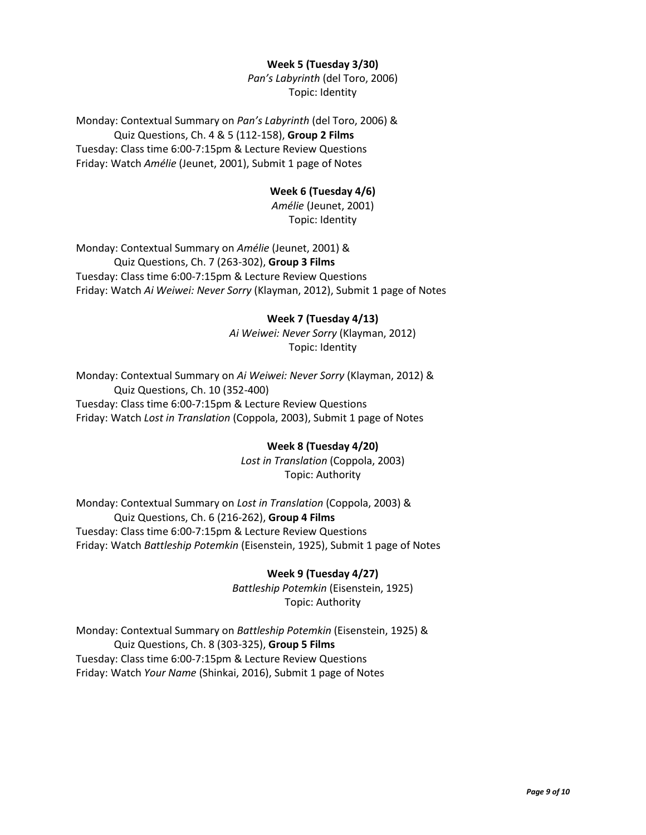## **Week 5 (Tuesday 3/30)**

*Pan's Labyrinth* (del Toro, 2006) Topic: Identity

Monday: Contextual Summary on *Pan's Labyrinth* (del Toro, 2006) & Quiz Questions, Ch. 4 & 5 (112-158), **Group 2 Films** Tuesday: Class time 6:00-7:15pm & Lecture Review Questions Friday: Watch *Amélie* (Jeunet, 2001), Submit 1 page of Notes

## **Week 6 (Tuesday 4/6)**

*Amélie* (Jeunet, 2001) Topic: Identity

Monday: Contextual Summary on *Amélie* (Jeunet, 2001) & Quiz Questions, Ch. 7 (263-302), **Group 3 Films** Tuesday: Class time 6:00-7:15pm & Lecture Review Questions Friday: Watch *Ai Weiwei: Never Sorry* (Klayman, 2012), Submit 1 page of Notes

#### **Week 7 (Tuesday 4/13)**

*Ai Weiwei: Never Sorry* (Klayman, 2012) Topic: Identity

Monday: Contextual Summary on *Ai Weiwei: Never Sorry* (Klayman, 2012) & Quiz Questions, Ch. 10 (352-400) Tuesday: Class time 6:00-7:15pm & Lecture Review Questions Friday: Watch *Lost in Translation* (Coppola, 2003), Submit 1 page of Notes

## **Week 8 (Tuesday 4/20)**

*Lost in Translation* (Coppola, 2003) Topic: Authority

Monday: Contextual Summary on *Lost in Translation* (Coppola, 2003) & Quiz Questions, Ch. 6 (216-262), **Group 4 Films** Tuesday: Class time 6:00-7:15pm & Lecture Review Questions Friday: Watch *Battleship Potemkin* (Eisenstein, 1925), Submit 1 page of Notes

#### **Week 9 (Tuesday 4/27)**

*Battleship Potemkin* (Eisenstein, 1925) Topic: Authority

Monday: Contextual Summary on *Battleship Potemkin* (Eisenstein, 1925) & Quiz Questions, Ch. 8 (303-325), **Group 5 Films** Tuesday: Class time 6:00-7:15pm & Lecture Review Questions Friday: Watch *Your Name* (Shinkai, 2016), Submit 1 page of Notes